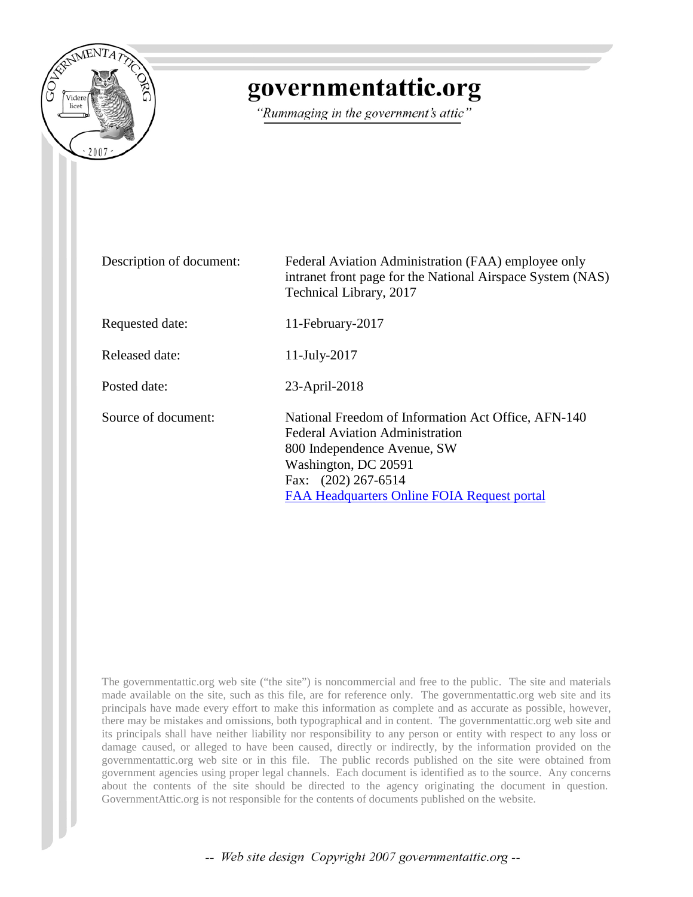

## governmentattic.org

"Rummaging in the government's attic"

| Description of document: | Federal Aviation Administration (FAA) employee only<br>intranet front page for the National Airspace System (NAS)<br>Technical Library, 2017                                                                               |
|--------------------------|----------------------------------------------------------------------------------------------------------------------------------------------------------------------------------------------------------------------------|
| Requested date:          | 11-February-2017                                                                                                                                                                                                           |
| Released date:           | $11$ -July-2017                                                                                                                                                                                                            |
| Posted date:             | 23-April-2018                                                                                                                                                                                                              |
| Source of document:      | National Freedom of Information Act Office, AFN-140<br><b>Federal Aviation Administration</b><br>800 Independence Avenue, SW<br>Washington, DC 20591<br>Fax: (202) 267-6514<br>FAA Headquarters Online FOIA Request portal |

The governmentattic.org web site ("the site") is noncommercial and free to the public. The site and materials made available on the site, such as this file, are for reference only. The governmentattic.org web site and its principals have made every effort to make this information as complete and as accurate as possible, however, there may be mistakes and omissions, both typographical and in content. The governmentattic.org web site and its principals shall have neither liability nor responsibility to any person or entity with respect to any loss or damage caused, or alleged to have been caused, directly or indirectly, by the information provided on the governmentattic.org web site or in this file. The public records published on the site were obtained from government agencies using proper legal channels. Each document is identified as to the source. Any concerns about the contents of the site should be directed to the agency originating the document in question. GovernmentAttic.org is not responsible for the contents of documents published on the website.

-- Web site design Copyright 2007 governmentattic.org --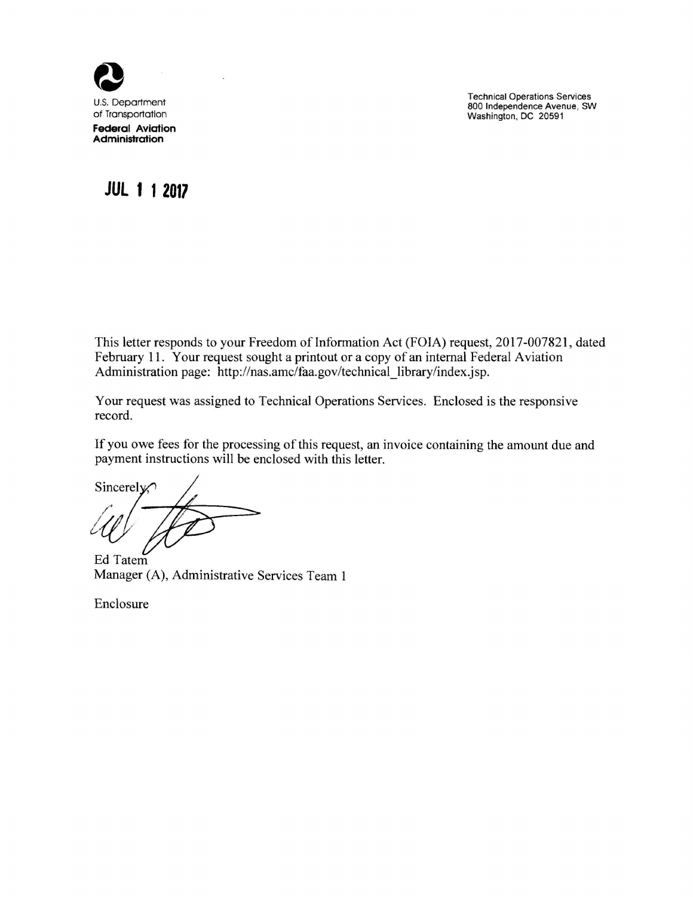

Technical Operations Services 800 Independence Avenue, SW Washington, DC 20591

## **JUL 1 1 2017**

This letter responds to your Freedom of Information Act (FOIA) request, 2017-007821, dated February 11. Your request sought a printout or a copy of an internal Federal Aviation Administration page: http://nas.amc/faa.gov/technical\_library/index.jsp.

Your request was assigned to Technical Operations Services. Enclosed is the responsive record.

If you owe fees for the processing of this request, an invoice containing the amount due and payment instructions will be enclosed with this letter.

Sincerely.

Ed Tatem Manager (A), Administrative Services Team 1

Enclosure